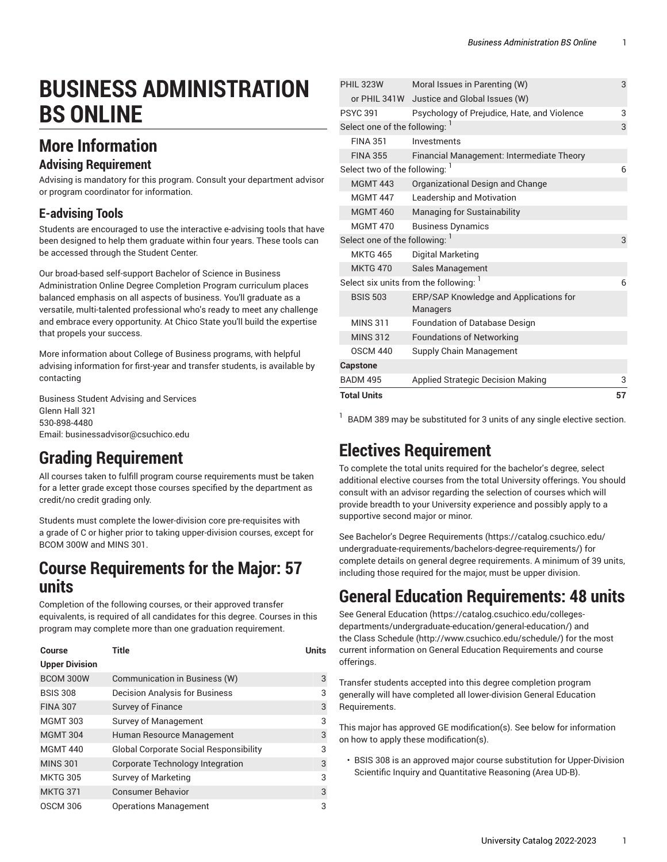# **BUSINESS ADMINISTRATION BS ONLINE**

## **More Information**

#### **Advising Requirement**

Advising is mandatory for this program. Consult your department advisor or program coordinator for information.

### **E-advising Tools**

Students are encouraged to use the interactive e-advising tools that have been designed to help them graduate within four years. These tools can be accessed through the Student Center.

Our broad-based self-support Bachelor of Science in Business Administration Online Degree Completion Program curriculum places balanced emphasis on all aspects of business. You'll graduate as a versatile, multi-talented professional who's ready to meet any challenge and embrace every opportunity. At Chico State you'll build the expertise that propels your success.

More information about College of Business programs, with helpful advising information for first-year and transfer students, is available by contacting

Business Student Advising and Services Glenn Hall 321 530-898-4480 Email: [businessadvisor@csuchico.edu](mailto:businessadvisor@csuchico.edu)

# **Grading Requirement**

All courses taken to fulfill program course requirements must be taken for a letter grade except those courses specified by the department as credit/no credit grading only.

Students must complete the lower-division core pre-requisites with a grade of C or higher prior to taking upper-division courses, except for BCOM 300W and MINS 301.

## **Course Requirements for the Major: 57 units**

Completion of the following courses, or their approved transfer equivalents, is required of all candidates for this degree. Courses in this program may complete more than one graduation requirement.

| <b>Course</b>         | <b>Title</b>                                  | <b>Units</b> |
|-----------------------|-----------------------------------------------|--------------|
| <b>Upper Division</b> |                                               |              |
| BCOM 300W             | Communication in Business (W)                 | 3            |
| <b>BSIS 308</b>       | <b>Decision Analysis for Business</b>         | 3            |
| <b>FINA 307</b>       | Survey of Finance                             | 3            |
| <b>MGMT 303</b>       | <b>Survey of Management</b>                   | 3            |
| <b>MGMT 304</b>       | Human Resource Management                     | 3            |
| <b>MGMT 440</b>       | <b>Global Corporate Social Responsibility</b> | 3            |
| <b>MINS 301</b>       | Corporate Technology Integration              | 3            |
| <b>MKTG 305</b>       | <b>Survey of Marketing</b>                    | 3            |
| <b>MKTG 371</b>       | <b>Consumer Behavior</b>                      | 3            |
| <b>OSCM 306</b>       | <b>Operations Management</b>                  | 3            |

| <b>Total Units</b>                   |                                                    | 57 |
|--------------------------------------|----------------------------------------------------|----|
| <b>BADM 495</b>                      | <b>Applied Strategic Decision Making</b>           | 3  |
| <b>Capstone</b>                      |                                                    |    |
| <b>OSCM 440</b>                      | Supply Chain Management                            |    |
| <b>MINS 312</b>                      | <b>Foundations of Networking</b>                   |    |
| <b>MINS 311</b>                      | <b>Foundation of Database Design</b>               |    |
| <b>BSIS 503</b>                      | ERP/SAP Knowledge and Applications for<br>Managers |    |
| Select six units from the following: |                                                    | 6  |
| <b>MKTG 470</b>                      | Sales Management                                   |    |
| <b>MKTG 465</b>                      | Digital Marketing                                  |    |
| Select one of the following: 1       |                                                    | 3  |
| <b>MGMT 470</b>                      | <b>Business Dynamics</b>                           |    |
| <b>MGMT 460</b>                      | Managing for Sustainability                        |    |
| <b>MGMT 447</b>                      | Leadership and Motivation                          |    |
| <b>MGMT 443</b>                      | Organizational Design and Change                   |    |
| Select two of the following: 1       |                                                    | 6  |
| <b>FINA 355</b>                      | Financial Management: Intermediate Theory          |    |
| <b>FINA 351</b>                      | Investments                                        |    |
| Select one of the following:         |                                                    | 3  |
| <b>PSYC 391</b>                      | Psychology of Prejudice, Hate, and Violence        | 3  |
| or PHIL 341W                         | Justice and Global Issues (W)                      |    |
| <b>PHIL 323W</b>                     | Moral Issues in Parenting (W)                      | 3  |

 $1$  BADM 389 may be substituted for 3 units of any single elective section.

# **Electives Requirement**

To complete the total units required for the bachelor's degree, select additional elective courses from the total University offerings. You should consult with an advisor regarding the selection of courses which will provide breadth to your University experience and possibly apply to a supportive second major or minor.

See Bachelor's Degree [Requirements \(https://catalog.csuchico.edu/](https://catalog.csuchico.edu/undergraduate-requirements/bachelors-degree-requirements/) [undergraduate-requirements/bachelors-degree-requirements/](https://catalog.csuchico.edu/undergraduate-requirements/bachelors-degree-requirements/)) for complete details on general degree requirements. A minimum of 39 units, including those required for the major, must be upper division.

## **General Education Requirements: 48 units**

See General [Education \(https://catalog.csuchico.edu/colleges](https://catalog.csuchico.edu/colleges-departments/undergraduate-education/general-education/)[departments/undergraduate-education/general-education/\)](https://catalog.csuchico.edu/colleges-departments/undergraduate-education/general-education/) and the [Class Schedule](http://www.csuchico.edu/schedule/) ([http://www.csuchico.edu/schedule/\)](http://www.csuchico.edu/schedule/) for the most current information on General Education Requirements and course offerings.

Transfer students accepted into this degree completion program generally will have completed all lower-division General Education Requirements.

This major has approved GE modification(s). See below for information on how to apply these modification(s).

• BSIS 308 is an approved major course substitution for Upper-Division Scientific Inquiry and Quantitative Reasoning (Area UD-B).